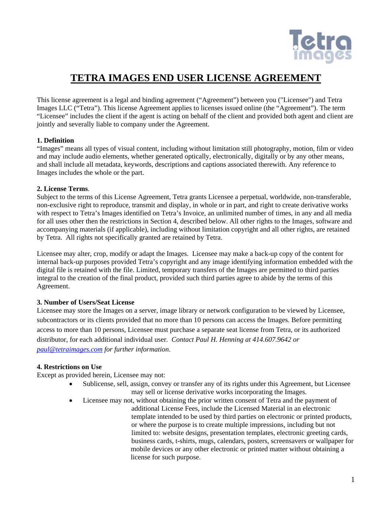

# **TETRA IMAGES END USER LICENSE AGREEMENT**

This license agreement is a legal and binding agreement ("Agreement") between you ("Licensee") and Tetra Images LLC ("Tetra"). This license Agreement applies to licenses issued online (the "Agreement"). The term "Licensee" includes the client if the agent is acting on behalf of the client and provided both agent and client are jointly and severally liable to company under the Agreement.

## **1. Definition**

"Images" means all types of visual content, including without limitation still photography, motion, film or video and may include audio elements, whether generated optically, electronically, digitally or by any other means, and shall include all metadata, keywords, descriptions and captions associated therewith. Any reference to Images includes the whole or the part.

## **2. License Terms**.

Subject to the terms of this License Agreement, Tetra grants Licensee a perpetual, worldwide, non-transferable, non-exclusive right to reproduce, transmit and display, in whole or in part, and right to create derivative works with respect to Tetra's Images identified on Tetra's Invoice, an unlimited number of times, in any and all media for all uses other then the restrictions in Section 4, described below. All other rights to the Images, software and accompanying materials (if applicable), including without limitation copyright and all other rights, are retained by Tetra. All rights not specifically granted are retained by Tetra.

Licensee may alter, crop, modify or adapt the Images. Licensee may make a back-up copy of the content for internal back-up purposes provided Tetra's copyright and any image identifying information embedded with the digital file is retained with the file. Limited, temporary transfers of the Images are permitted to third parties integral to the creation of the final product, provided such third parties agree to abide by the terms of this Agreement.

# **3. Number of Users/Seat License**

Licensee may store the Images on a server, image library or network configuration to be viewed by Licensee, subcontractors or its clients provided that no more than 10 persons can access the Images. Before permitting access to more than 10 persons, Licensee must purchase a separate seat license from Tetra, or its authorized distributor, for each additional individual user. *Contact Paul H. Henning at 414.607.9642 or [paul@tetraimages.com](mailto:paul@tetraimages.com) for further information*.

# **4. Restrictions on Use**

Except as provided herein, Licensee may not:

- Sublicense, sell, assign, convey or transfer any of its rights under this Agreement, but Licensee may sell or license derivative works incorporating the Images.
- Licensee may not, without obtaining the prior written consent of Tetra and the payment of additional License Fees, include the Licensed Material in an electronic template intended to be used by third parties on electronic or printed products,
	- or where the purpose is to create multiple impressions, including but not limited to: website designs, presentation templates, electronic greeting cards, business cards, t-shirts, mugs, calendars, posters, screensavers or wallpaper for mobile devices or any other electronic or printed matter without obtaining a license for such purpose.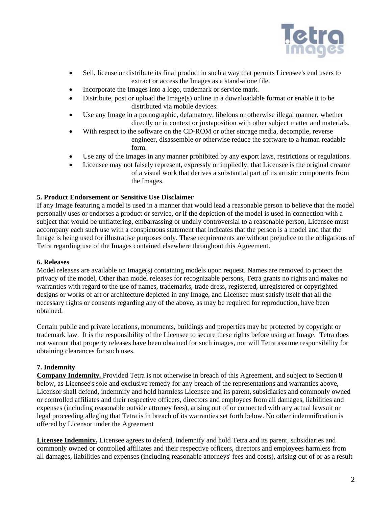

- Sell, license or distribute its final product in such a way that permits Licensee's end users to extract or access the Images as a stand-alone file.
- Incorporate the Images into a logo, trademark or service mark.
- Distribute, post or upload the Image(s) online in a downloadable format or enable it to be distributed via mobile devices.
- Use any Image in a pornographic, defamatory, libelous or otherwise illegal manner, whether directly or in context or juxtaposition with other subject matter and materials.
- With respect to the software on the CD-ROM or other storage media, decompile, reverse engineer, disassemble or otherwise reduce the software to a human readable form.
- Use any of the Images in any manner prohibited by any export laws, restrictions or regulations.
- Licensee may not falsely represent, expressly or impliedly, that Licensee is the original creator of a visual work that derives a substantial part of its artistic components from the Images.

## **5. Product Endorsement or Sensitive Use Disclaimer**

If any Image featuring a model is used in a manner that would lead a reasonable person to believe that the model personally uses or endorses a product or service, or if the depiction of the model is used in connection with a subject that would be unflattering, embarrassing or unduly controversial to a reasonable person, Licensee must accompany each such use with a conspicuous statement that indicates that the person is a model and that the Image is being used for illustrative purposes only. These requirements are without prejudice to the obligations of Tetra regarding use of the Images contained elsewhere throughout this Agreement.

## **6. Releases**

Model releases are available on Image(s) containing models upon request. Names are removed to protect the privacy of the model, Other than model releases for recognizable persons, Tetra grants no rights and makes no warranties with regard to the use of names, trademarks, trade dress, registered, unregistered or copyrighted designs or works of art or architecture depicted in any Image, and Licensee must satisfy itself that all the necessary rights or consents regarding any of the above, as may be required for reproduction, have been obtained.

Certain public and private locations, monuments, buildings and properties may be protected by copyright or trademark law. It is the responsibility of the Licensee to secure these rights before using an Image. Tetra does not warrant that property releases have been obtained for such images, nor will Tetra assume responsibility for obtaining clearances for such uses.

## **7. Indemnity**

**Company Indemnity.** Provided Tetra is not otherwise in breach of this Agreement, and subject to Section 8 below, as Licensee's sole and exclusive remedy for any breach of the representations and warranties above, Licensor shall defend, indemnify and hold harmless Licensee and its parent, subsidiaries and commonly owned or controlled affiliates and their respective officers, directors and employees from all damages, liabilities and expenses (including reasonable outside attorney fees), arising out of or connected with any actual lawsuit or legal proceeding alleging that Tetra is in breach of its warranties set forth below. No other indemnification is offered by Licensor under the Agreement

**Licensee Indemnity.** Licensee agrees to defend, indemnify and hold Tetra and its parent, subsidiaries and commonly owned or controlled affiliates and their respective officers, directors and employees harmless from all damages, liabilities and expenses (including reasonable attorneys' fees and costs), arising out of or as a result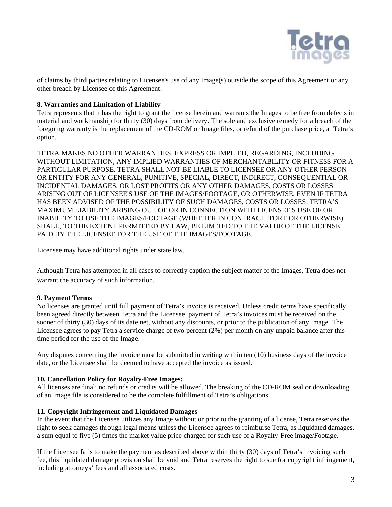

of claims by third parties relating to Licensee's use of any Image(s) outside the scope of this Agreement or any other breach by Licensee of this Agreement.

## **8. Warranties and Limitation of Liability**

Tetra represents that it has the right to grant the license herein and warrants the Images to be free from defects in material and workmanship for thirty (30) days from delivery. The sole and exclusive remedy for a breach of the foregoing warranty is the replacement of the CD-ROM or Image files, or refund of the purchase price, at Tetra's option.

TETRA MAKES NO OTHER WARRANTIES, EXPRESS OR IMPLIED, REGARDING, INCLUDING, WITHOUT LIMITATION, ANY IMPLIED WARRANTIES OF MERCHANTABILITY OR FITNESS FOR A PARTICULAR PURPOSE. TETRA SHALL NOT BE LIABLE TO LICENSEE OR ANY OTHER PERSON OR ENTITY FOR ANY GENERAL, PUNITIVE, SPECIAL, DIRECT, INDIRECT, CONSEQUENTIAL OR INCIDENTAL DAMAGES, OR LOST PROFITS OR ANY OTHER DAMAGES, COSTS OR LOSSES ARISING OUT OF LICENSEE'S USE OF THE IMAGES/FOOTAGE, OR OTHERWISE, EVEN IF TETRA HAS BEEN ADVISED OF THE POSSIBILITY OF SUCH DAMAGES, COSTS OR LOSSES. TETRA'S MAXIMUM LIABILITY ARISING OUT OF OR IN CONNECTION WITH LICENSEE'S USE OF OR INABILITY TO USE THE IMAGES/FOOTAGE (WHETHER IN CONTRACT, TORT OR OTHERWISE) SHALL, TO THE EXTENT PERMITTED BY LAW, BE LIMITED TO THE VALUE OF THE LICENSE PAID BY THE LICENSEE FOR THE USE OF THE IMAGES/FOOTAGE.

Licensee may have additional rights under state law.

Although Tetra has attempted in all cases to correctly caption the subject matter of the Images, Tetra does not warrant the accuracy of such information.

#### **9. Payment Terms**

No licenses are granted until full payment of Tetra's invoice is received. Unless credit terms have specifically been agreed directly between Tetra and the Licensee, payment of Tetra's invoices must be received on the sooner of thirty (30) days of its date net, without any discounts, or prior to the publication of any Image. The Licensee agrees to pay Tetra a service charge of two percent (2%) per month on any unpaid balance after this time period for the use of the Image.

Any disputes concerning the invoice must be submitted in writing within ten (10) business days of the invoice date, or the Licensee shall be deemed to have accepted the invoice as issued.

#### **10. Cancellation Policy for Royalty-Free Images:**

All licenses are final; no refunds or credits will be allowed. The breaking of the CD-ROM seal or downloading of an Image file is considered to be the complete fulfillment of Tetra's obligations.

### **11. Copyright Infringement and Liquidated Damages**

In the event that the Licensee utilizes any Image without or prior to the granting of a license, Tetra reserves the right to seek damages through legal means unless the Licensee agrees to reimburse Tetra, as liquidated damages, a sum equal to five (5) times the market value price charged for such use of a Royalty-Free image/Footage.

If the Licensee fails to make the payment as described above within thirty (30) days of Tetra's invoicing such fee, this liquidated damage provision shall be void and Tetra reserves the right to sue for copyright infringement, including attorneys' fees and all associated costs.